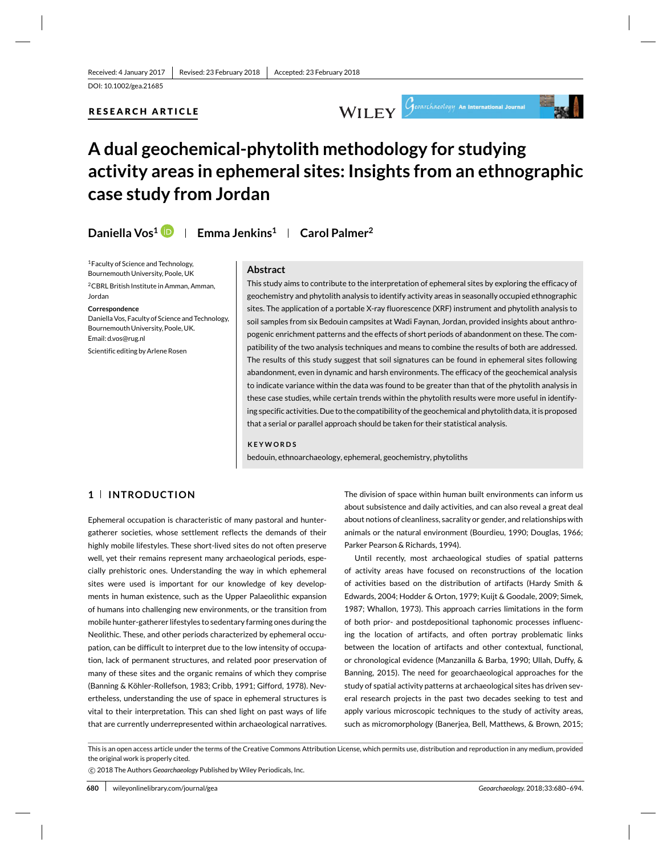# **RESEARCH ARTICLE**





# **A dual geochemical-phytolith methodology for studying activity areas in ephemeral sites: Insights from an ethnographic case study from Jordan**

**Daniella Vos1 Emma Jenkins1 Carol Palmer2**

1Faculty of Science and Technology, Bournemouth University, Poole, UK 2CBRL British Institute in Amman, Amman, Jordan

#### **Correspondence**

Daniella Vos, Faculty of Science and Technology, Bournemouth University, Poole, UK. Email: d.vos@rug.nl

Scientific editing by Arlene Rosen

#### **Abstract**

This study aims to contribute to the interpretation of ephemeral sites by exploring the efficacy of geochemistry and phytolith analysis to identify activity areas in seasonally occupied ethnographic sites. The application of a portable X-ray fluorescence (XRF) instrument and phytolith analysis to soil samples from six Bedouin campsites at Wadi Faynan, Jordan, provided insights about anthropogenic enrichment patterns and the effects of short periods of abandonment on these. The compatibility of the two analysis techniques and means to combine the results of both are addressed. The results of this study suggest that soil signatures can be found in ephemeral sites following abandonment, even in dynamic and harsh environments. The efficacy of the geochemical analysis to indicate variance within the data was found to be greater than that of the phytolith analysis in these case studies, while certain trends within the phytolith results were more useful in identifying specific activities. Due to the compatibility of the geochemical and phytolith data, it is proposed that a serial or parallel approach should be taken for their statistical analysis.

#### **KEYWORDS**

bedouin, ethnoarchaeology, ephemeral, geochemistry, phytoliths

# **1 INTRODUCTION**

Ephemeral occupation is characteristic of many pastoral and huntergatherer societies, whose settlement reflects the demands of their highly mobile lifestyles. These short-lived sites do not often preserve well, yet their remains represent many archaeological periods, especially prehistoric ones. Understanding the way in which ephemeral sites were used is important for our knowledge of key developments in human existence, such as the Upper Palaeolithic expansion of humans into challenging new environments, or the transition from mobile hunter-gatherer lifestyles to sedentary farming ones during the Neolithic. These, and other periods characterized by ephemeral occupation, can be difficult to interpret due to the low intensity of occupation, lack of permanent structures, and related poor preservation of many of these sites and the organic remains of which they comprise (Banning & Köhler-Rollefson, 1983; Cribb, 1991; Gifford, 1978). Nevertheless, understanding the use of space in ephemeral structures is vital to their interpretation. This can shed light on past ways of life that are currently underrepresented within archaeological narratives.

The division of space within human built environments can inform us about subsistence and daily activities, and can also reveal a great deal about notions of cleanliness, sacrality or gender, and relationships with animals or the natural environment (Bourdieu, 1990; Douglas, 1966; Parker Pearson & Richards, 1994).

Until recently, most archaeological studies of spatial patterns of activity areas have focused on reconstructions of the location of activities based on the distribution of artifacts (Hardy Smith & Edwards, 2004; Hodder & Orton, 1979; Kuijt & Goodale, 2009; Simek, 1987; Whallon, 1973). This approach carries limitations in the form of both prior- and postdepositional taphonomic processes influencing the location of artifacts, and often portray problematic links between the location of artifacts and other contextual, functional, or chronological evidence (Manzanilla & Barba, 1990; Ullah, Duffy, & Banning, 2015). The need for geoarchaeological approaches for the study of spatial activity patterns at archaeological sites has driven several research projects in the past two decades seeking to test and apply various microscopic techniques to the study of activity areas, such as micromorphology (Banerjea, Bell, Matthews, & Brown, 2015;

This is an open access article under the terms of the Creative Commons Attribution License, which permits use, distribution and reproduction in any medium, provided the original work is properly cited.

-c 2018 The Authors *Geoarchaeology* Published by Wiley Periodicals, Inc.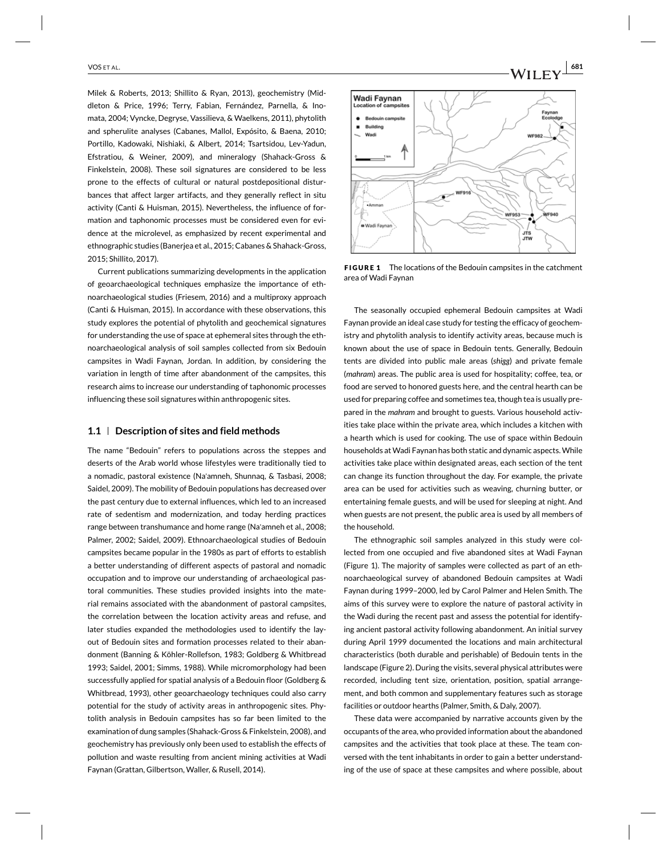Milek & Roberts, 2013; Shillito & Ryan, 2013), geochemistry (Middleton & Price, 1996; Terry, Fabian, Fernández, Parnella, & Inomata, 2004; Vyncke, Degryse, Vassilieva, & Waelkens, 2011), phytolith and spherulite analyses (Cabanes, Mallol, Expósito, & Baena, 2010; Portillo, Kadowaki, Nishiaki, & Albert, 2014; Tsartsidou, Lev-Yadun, Efstratiou, & Weiner, 2009), and mineralogy (Shahack-Gross & Finkelstein, 2008). These soil signatures are considered to be less prone to the effects of cultural or natural postdepositional disturbances that affect larger artifacts, and they generally reflect in situ activity (Canti & Huisman, 2015). Nevertheless, the influence of formation and taphonomic processes must be considered even for evidence at the microlevel, as emphasized by recent experimental and ethnographic studies (Banerjea et al., 2015; Cabanes & Shahack-Gross, 2015; Shillito, 2017).

Current publications summarizing developments in the application of geoarchaeological techniques emphasize the importance of ethnoarchaeological studies (Friesem, 2016) and a multiproxy approach (Canti & Huisman, 2015). In accordance with these observations, this study explores the potential of phytolith and geochemical signatures for understanding the use of space at ephemeral sites through the ethnoarchaeological analysis of soil samples collected from six Bedouin campsites in Wadi Faynan, Jordan. In addition, by considering the variation in length of time after abandonment of the campsites, this research aims to increase our understanding of taphonomic processes influencing these soil signatures within anthropogenic sites.

## **1.1 Description of sites and field methods**

The name "Bedouin" refers to populations across the steppes and deserts of the Arab world whose lifestyles were traditionally tied to a nomadic, pastoral existence (Na'amneh, Shunnaq, & Tasbasi, 2008; Saidel, 2009). The mobility of Bedouin populations has decreased over the past century due to external influences, which led to an increased rate of sedentism and modernization, and today herding practices range between transhumance and home range (Na'amneh et al., 2008; Palmer, 2002; Saidel, 2009). Ethnoarchaeological studies of Bedouin campsites became popular in the 1980s as part of efforts to establish a better understanding of different aspects of pastoral and nomadic occupation and to improve our understanding of archaeological pastoral communities. These studies provided insights into the material remains associated with the abandonment of pastoral campsites, the correlation between the location activity areas and refuse, and later studies expanded the methodologies used to identify the layout of Bedouin sites and formation processes related to their abandonment (Banning & Köhler-Rollefson, 1983; Goldberg & Whitbread 1993; Saidel, 2001; Simms, 1988). While micromorphology had been successfully applied for spatial analysis of a Bedouin floor (Goldberg & Whitbread, 1993), other geoarchaeology techniques could also carry potential for the study of activity areas in anthropogenic sites. Phytolith analysis in Bedouin campsites has so far been limited to the examination of dung samples (Shahack-Gross & Finkelstein, 2008), and geochemistry has previously only been used to establish the effects of pollution and waste resulting from ancient mining activities at Wadi Faynan (Grattan, Gilbertson, Waller, & Rusell, 2014).



**FIGURE 1** The locations of the Bedouin campsites in the catchment area of Wadi Faynan

The seasonally occupied ephemeral Bedouin campsites at Wadi Faynan provide an ideal case study for testing the efficacy of geochemistry and phytolith analysis to identify activity areas, because much is known about the use of space in Bedouin tents. Generally, Bedouin tents are divided into public male areas (*shigg*) and private female (*mahram*) areas. The public area is used for hospitality; coffee, tea, or food are served to honored guests here, and the central hearth can be used for preparing coffee and sometimes tea, though tea is usually prepared in the *mahram* and brought to guests. Various household activities take place within the private area, which includes a kitchen with a hearth which is used for cooking. The use of space within Bedouin households at Wadi Faynan has both static and dynamic aspects. While activities take place within designated areas, each section of the tent can change its function throughout the day. For example, the private area can be used for activities such as weaving, churning butter, or entertaining female guests, and will be used for sleeping at night. And when guests are not present, the public area is used by all members of the household.

The ethnographic soil samples analyzed in this study were collected from one occupied and five abandoned sites at Wadi Faynan (Figure 1). The majority of samples were collected as part of an ethnoarchaeological survey of abandoned Bedouin campsites at Wadi Faynan during 1999–2000, led by Carol Palmer and Helen Smith. The aims of this survey were to explore the nature of pastoral activity in the Wadi during the recent past and assess the potential for identifying ancient pastoral activity following abandonment. An initial survey during April 1999 documented the locations and main architectural characteristics (both durable and perishable) of Bedouin tents in the landscape (Figure 2). During the visits, several physical attributes were recorded, including tent size, orientation, position, spatial arrangement, and both common and supplementary features such as storage facilities or outdoor hearths (Palmer, Smith, & Daly, 2007).

These data were accompanied by narrative accounts given by the occupants of the area, who provided information about the abandoned campsites and the activities that took place at these. The team conversed with the tent inhabitants in order to gain a better understanding of the use of space at these campsites and where possible, about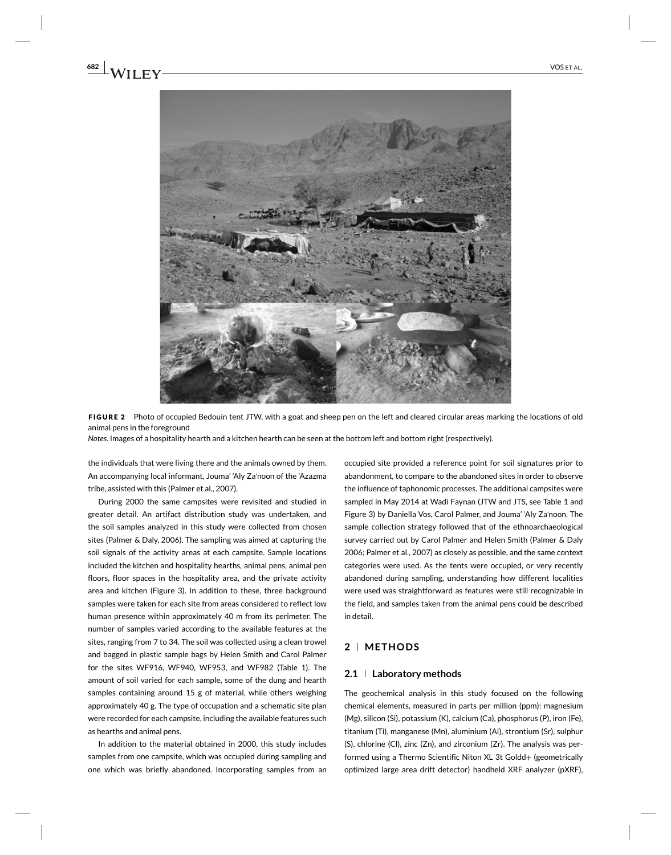



*Notes*. Images of a hospitality hearth and a kitchen hearth can be seen at the bottom left and bottom right (respectively).

the individuals that were living there and the animals owned by them. An accompanying local informant, Jouma' 'Aly Za'noon of the 'Azazma tribe, assisted with this (Palmer et al., 2007).

During 2000 the same campsites were revisited and studied in greater detail. An artifact distribution study was undertaken, and the soil samples analyzed in this study were collected from chosen sites (Palmer & Daly, 2006). The sampling was aimed at capturing the soil signals of the activity areas at each campsite. Sample locations included the kitchen and hospitality hearths, animal pens, animal pen floors, floor spaces in the hospitality area, and the private activity area and kitchen (Figure 3). In addition to these, three background samples were taken for each site from areas considered to reflect low human presence within approximately 40 m from its perimeter. The number of samples varied according to the available features at the sites, ranging from 7 to 34. The soil was collected using a clean trowel and bagged in plastic sample bags by Helen Smith and Carol Palmer for the sites WF916, WF940, WF953, and WF982 (Table 1). The amount of soil varied for each sample, some of the dung and hearth samples containing around 15 g of material, while others weighing approximately 40 g. The type of occupation and a schematic site plan were recorded for each campsite, including the available features such as hearths and animal pens.

In addition to the material obtained in 2000, this study includes samples from one campsite, which was occupied during sampling and one which was briefly abandoned. Incorporating samples from an occupied site provided a reference point for soil signatures prior to abandonment, to compare to the abandoned sites in order to observe the influence of taphonomic processes. The additional campsites were sampled in May 2014 at Wadi Faynan (JTW and JTS, see Table 1 and Figure 3) by Daniella Vos, Carol Palmer, and Jouma' 'Aly Za'noon. The sample collection strategy followed that of the ethnoarchaeological survey carried out by Carol Palmer and Helen Smith (Palmer & Daly 2006; Palmer et al., 2007) as closely as possible, and the same context categories were used. As the tents were occupied, or very recently abandoned during sampling, understanding how different localities were used was straightforward as features were still recognizable in the field, and samples taken from the animal pens could be described in detail.

## **2 METHODS**

## **2.1 Laboratory methods**

The geochemical analysis in this study focused on the following chemical elements, measured in parts per million (ppm): magnesium (Mg), silicon (Si), potassium (K), calcium (Ca), phosphorus (P), iron (Fe), titanium (Ti), manganese (Mn), aluminium (Al), strontium (Sr), sulphur (S), chlorine (Cl), zinc (Zn), and zirconium (Zr). The analysis was performed using a Thermo Scientific Niton XL 3t Goldd+ (geometrically optimized large area drift detector) handheld XRF analyzer (pXRF),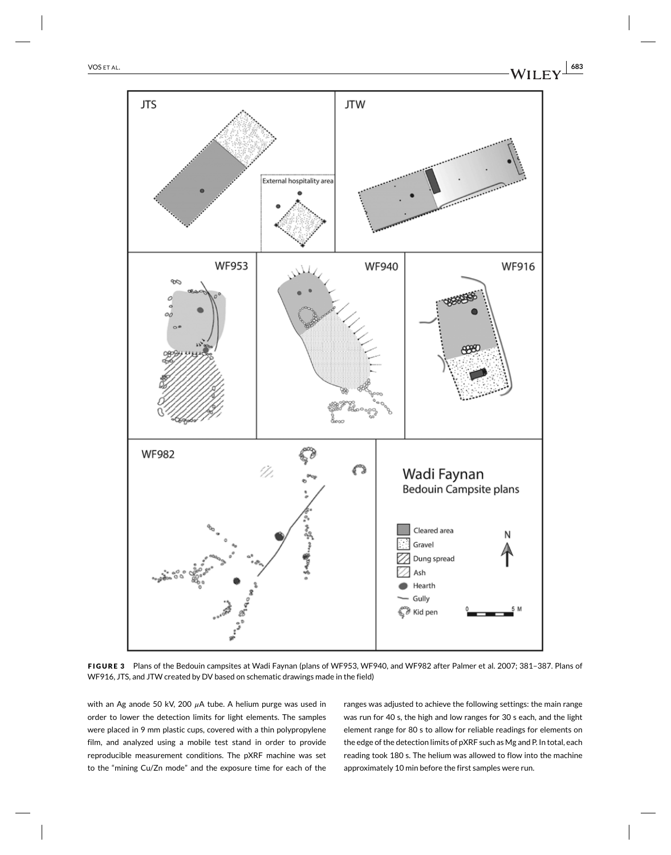

**FIGURE 3** Plans of the Bedouin campsites at Wadi Faynan (plans of WF953, WF940, and WF982 after Palmer et al. 2007; 381–387. Plans of WF916, JTS, and JTW created by DV based on schematic drawings made in the field)

with an Ag anode 50 kV, 200  $\mu$ A tube. A helium purge was used in order to lower the detection limits for light elements. The samples were placed in 9 mm plastic cups, covered with a thin polypropylene film, and analyzed using a mobile test stand in order to provide reproducible measurement conditions. The pXRF machine was set to the "mining Cu/Zn mode" and the exposure time for each of the ranges was adjusted to achieve the following settings: the main range was run for 40 s, the high and low ranges for 30 s each, and the light element range for 80 s to allow for reliable readings for elements on the edge of the detection limits of pXRF such as Mg and P. In total, each reading took 180 s. The helium was allowed to flow into the machine approximately 10 min before the first samples were run.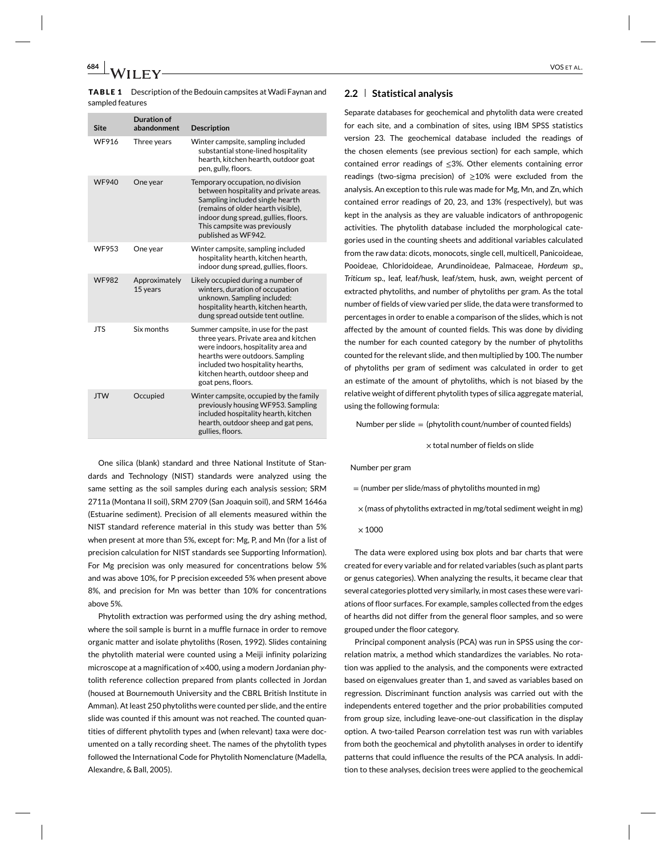sampled features

| <b>Site</b>  | <b>Duration of</b><br>abandonment | <b>Description</b>                                                                                                                                                                                                                                     |
|--------------|-----------------------------------|--------------------------------------------------------------------------------------------------------------------------------------------------------------------------------------------------------------------------------------------------------|
| WF916        | Three years                       | Winter campsite, sampling included<br>substantial stone-lined hospitality<br>hearth, kitchen hearth, outdoor goat<br>pen, gully, floors.                                                                                                               |
| <b>WF940</b> | One year                          | Temporary occupation, no division<br>between hospitality and private areas.<br>Sampling included single hearth<br>(remains of older hearth visible).<br>indoor dung spread, gullies, floors.<br>This campsite was previously<br>published as WF942.    |
| <b>WF953</b> | One year                          | Winter campsite, sampling included<br>hospitality hearth, kitchen hearth,<br>indoor dung spread, gullies, floors.                                                                                                                                      |
| <b>WF982</b> | Approximately<br>15 years         | Likely occupied during a number of<br>winters, duration of occupation<br>unknown. Sampling included:<br>hospitality hearth, kitchen hearth,<br>dung spread outside tent outline.                                                                       |
| <b>JTS</b>   | Six months                        | Summer campsite, in use for the past<br>three years. Private area and kitchen<br>were indoors, hospitality area and<br>hearths were outdoors. Sampling<br>included two hospitality hearths,<br>kitchen hearth, outdoor sheep and<br>goat pens, floors. |
| <b>JTW</b>   | Occupied                          | Winter campsite, occupied by the family<br>previously housing WF953. Sampling<br>included hospitality hearth, kitchen<br>hearth, outdoor sheep and gat pens,<br>gullies, floors.                                                                       |

One silica (blank) standard and three National Institute of Standards and Technology (NIST) standards were analyzed using the same setting as the soil samples during each analysis session; SRM 2711a (Montana II soil), SRM 2709 (San Joaquin soil), and SRM 1646a (Estuarine sediment). Precision of all elements measured within the NIST standard reference material in this study was better than 5% when present at more than 5%, except for: Mg, P, and Mn (for a list of precision calculation for NIST standards see Supporting Information). For Mg precision was only measured for concentrations below 5% and was above 10%, for P precision exceeded 5% when present above 8%, and precision for Mn was better than 10% for concentrations above 5%.

Phytolith extraction was performed using the dry ashing method, where the soil sample is burnt in a muffle furnace in order to remove organic matter and isolate phytoliths (Rosen, 1992). Slides containing the phytolith material were counted using a Meiji infinity polarizing microscope at a magnification of ×400, using a modern Jordanian phytolith reference collection prepared from plants collected in Jordan (housed at Bournemouth University and the CBRL British Institute in Amman). At least 250 phytoliths were counted per slide, and the entire slide was counted if this amount was not reached. The counted quantities of different phytolith types and (when relevant) taxa were documented on a tally recording sheet. The names of the phytolith types followed the International Code for Phytolith Nomenclature (Madella, Alexandre, & Ball, 2005).

## **2.2 Statistical analysis**

Separate databases for geochemical and phytolith data were created for each site, and a combination of sites, using IBM SPSS statistics version 23. The geochemical database included the readings of the chosen elements (see previous section) for each sample, which contained error readings of ≤3%. Other elements containing error readings (two-sigma precision) of  $\geq 10\%$  were excluded from the analysis. An exception to this rule was made for Mg, Mn, and Zn, which contained error readings of 20, 23, and 13% (respectively), but was kept in the analysis as they are valuable indicators of anthropogenic activities. The phytolith database included the morphological categories used in the counting sheets and additional variables calculated from the raw data: dicots, monocots, single cell, multicell, Panicoideae, Pooideae, Chloridoideae, Arundinoideae, Palmaceae, *Hordeum sp*., *Triticum* sp., leaf, leaf/husk, leaf/stem, husk, awn, weight percent of extracted phytoliths, and number of phytoliths per gram. As the total number of fields of view varied per slide, the data were transformed to percentages in order to enable a comparison of the slides, which is not affected by the amount of counted fields. This was done by dividing the number for each counted category by the number of phytoliths counted for the relevant slide, and then multiplied by 100. The number of phytoliths per gram of sediment was calculated in order to get an estimate of the amount of phytoliths, which is not biased by the relative weight of different phytolith types of silica aggregate material, using the following formula:

Number per slide  $=$  (phytolith count/number of counted fields)

 $\times$  total number of fields on slide

#### Number per gram

 $=$  (number per slide/mass of phytoliths mounted in mg)

- $\times$  (mass of phytoliths extracted in mg/total sediment weight in mg)
- $\times$  1000

The data were explored using box plots and bar charts that were created for every variable and for related variables (such as plant parts or genus categories). When analyzing the results, it became clear that several categories plotted very similarly, in most cases these were variations of floor surfaces. For example, samples collected from the edges of hearths did not differ from the general floor samples, and so were grouped under the floor category.

Principal component analysis (PCA) was run in SPSS using the correlation matrix, a method which standardizes the variables. No rotation was applied to the analysis, and the components were extracted based on eigenvalues greater than 1, and saved as variables based on regression. Discriminant function analysis was carried out with the independents entered together and the prior probabilities computed from group size, including leave-one-out classification in the display option. A two-tailed Pearson correlation test was run with variables from both the geochemical and phytolith analyses in order to identify patterns that could influence the results of the PCA analysis. In addition to these analyses, decision trees were applied to the geochemical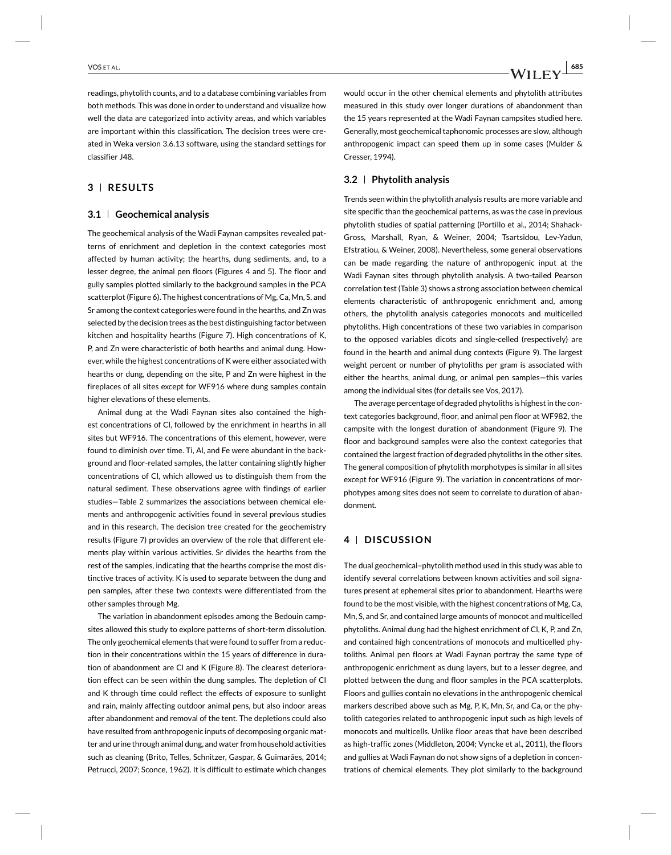readings, phytolith counts, and to a database combining variables from both methods. This was done in order to understand and visualize how well the data are categorized into activity areas, and which variables are important within this classification. The decision trees were created in Weka version 3.6.13 software, using the standard settings for classifier J48.

# **3 RESULTS**

### **3.1 Geochemical analysis**

The geochemical analysis of the Wadi Faynan campsites revealed patterns of enrichment and depletion in the context categories most affected by human activity; the hearths, dung sediments, and, to a lesser degree, the animal pen floors (Figures 4 and 5). The floor and gully samples plotted similarly to the background samples in the PCA scatterplot (Figure 6). The highest concentrations of Mg, Ca, Mn, S, and Sr among the context categories were found in the hearths, and Zn was selected by the decision trees as the best distinguishing factor between kitchen and hospitality hearths (Figure 7). High concentrations of K, P, and Zn were characteristic of both hearths and animal dung. However, while the highest concentrations of K were either associated with hearths or dung, depending on the site, P and Zn were highest in the fireplaces of all sites except for WF916 where dung samples contain higher elevations of these elements.

Animal dung at the Wadi Faynan sites also contained the highest concentrations of Cl, followed by the enrichment in hearths in all sites but WF916. The concentrations of this element, however, were found to diminish over time. Ti, Al, and Fe were abundant in the background and floor-related samples, the latter containing slightly higher concentrations of Cl, which allowed us to distinguish them from the natural sediment. These observations agree with findings of earlier studies—Table 2 summarizes the associations between chemical elements and anthropogenic activities found in several previous studies and in this research. The decision tree created for the geochemistry results (Figure 7) provides an overview of the role that different elements play within various activities. Sr divides the hearths from the rest of the samples, indicating that the hearths comprise the most distinctive traces of activity. K is used to separate between the dung and pen samples, after these two contexts were differentiated from the other samples through Mg.

The variation in abandonment episodes among the Bedouin campsites allowed this study to explore patterns of short-term dissolution. The only geochemical elements that were found to suffer from a reduction in their concentrations within the 15 years of difference in duration of abandonment are Cl and K (Figure 8). The clearest deterioration effect can be seen within the dung samples. The depletion of Cl and K through time could reflect the effects of exposure to sunlight and rain, mainly affecting outdoor animal pens, but also indoor areas after abandonment and removal of the tent. The depletions could also have resulted from anthropogenic inputs of decomposing organic matter and urine through animal dung, and water from household activities such as cleaning (Brito, Telles, Schnitzer, Gaspar, & Guimarães, 2014; Petrucci, 2007; Sconce, 1962). It is difficult to estimate which changes

would occur in the other chemical elements and phytolith attributes measured in this study over longer durations of abandonment than the 15 years represented at the Wadi Faynan campsites studied here. Generally, most geochemical taphonomic processes are slow, although anthropogenic impact can speed them up in some cases (Mulder & Cresser, 1994).

## **3.2 Phytolith analysis**

Trends seen within the phytolith analysis results are more variable and site specific than the geochemical patterns, as was the case in previous phytolith studies of spatial patterning (Portillo et al., 2014; Shahack-Gross, Marshall, Ryan, & Weiner, 2004; Tsartsidou, Lev-Yadun, Efstratiou, & Weiner, 2008). Nevertheless, some general observations can be made regarding the nature of anthropogenic input at the Wadi Faynan sites through phytolith analysis. A two-tailed Pearson correlation test (Table 3) shows a strong association between chemical elements characteristic of anthropogenic enrichment and, among others, the phytolith analysis categories monocots and multicelled phytoliths. High concentrations of these two variables in comparison to the opposed variables dicots and single-celled (respectively) are found in the hearth and animal dung contexts (Figure 9). The largest weight percent or number of phytoliths per gram is associated with either the hearths, animal dung, or animal pen samples—this varies among the individual sites (for details see Vos, 2017).

The average percentage of degraded phytoliths is highest in the context categories background, floor, and animal pen floor at WF982, the campsite with the longest duration of abandonment (Figure 9). The floor and background samples were also the context categories that contained the largest fraction of degraded phytoliths in the other sites. The general composition of phytolith morphotypes is similar in all sites except for WF916 (Figure 9). The variation in concentrations of morphotypes among sites does not seem to correlate to duration of abandonment.

## **4 DISCUSSION**

The dual geochemical–phytolith method used in this study was able to identify several correlations between known activities and soil signatures present at ephemeral sites prior to abandonment. Hearths were found to be the most visible, with the highest concentrations of Mg, Ca, Mn, S, and Sr, and contained large amounts of monocot and multicelled phytoliths. Animal dung had the highest enrichment of Cl, K, P, and Zn, and contained high concentrations of monocots and multicelled phytoliths. Animal pen floors at Wadi Faynan portray the same type of anthropogenic enrichment as dung layers, but to a lesser degree, and plotted between the dung and floor samples in the PCA scatterplots. Floors and gullies contain no elevations in the anthropogenic chemical markers described above such as Mg, P, K, Mn, Sr, and Ca, or the phytolith categories related to anthropogenic input such as high levels of monocots and multicells. Unlike floor areas that have been described as high-traffic zones (Middleton, 2004; Vyncke et al., 2011), the floors and gullies at Wadi Faynan do not show signs of a depletion in concentrations of chemical elements. They plot similarly to the background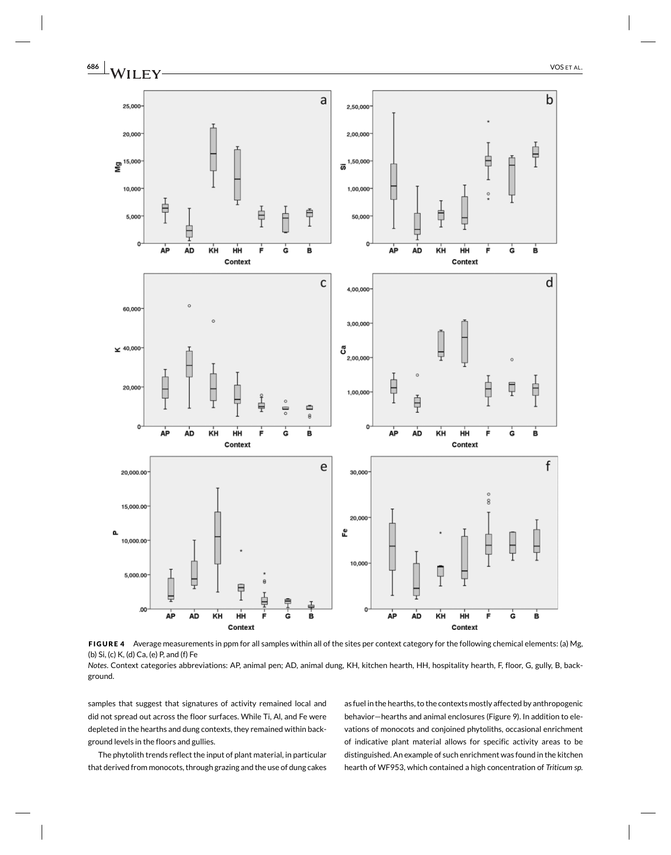

**FIGURE 4** Average measurements in ppm for all samples within all of the sites per context category for the following chemical elements: (a) Mg, (b) Si, (c) K, (d) Ca, (e) P, and (f) Fe

*Notes*. Context categories abbreviations: AP, animal pen; AD, animal dung, KH, kitchen hearth, HH, hospitality hearth, F, floor, G, gully, B, background.

samples that suggest that signatures of activity remained local and did not spread out across the floor surfaces. While Ti, Al, and Fe were depleted in the hearths and dung contexts, they remained within background levels in the floors and gullies.

The phytolith trends reflect the input of plant material, in particular that derived from monocots, through grazing and the use of dung cakes

as fuel in the hearths, to the contexts mostly affected by anthropogenic behavior—hearths and animal enclosures (Figure 9). In addition to elevations of monocots and conjoined phytoliths, occasional enrichment of indicative plant material allows for specific activity areas to be distinguished. An example of such enrichment was found in the kitchen hearth of WF953, which contained a high concentration of *Triticum sp.*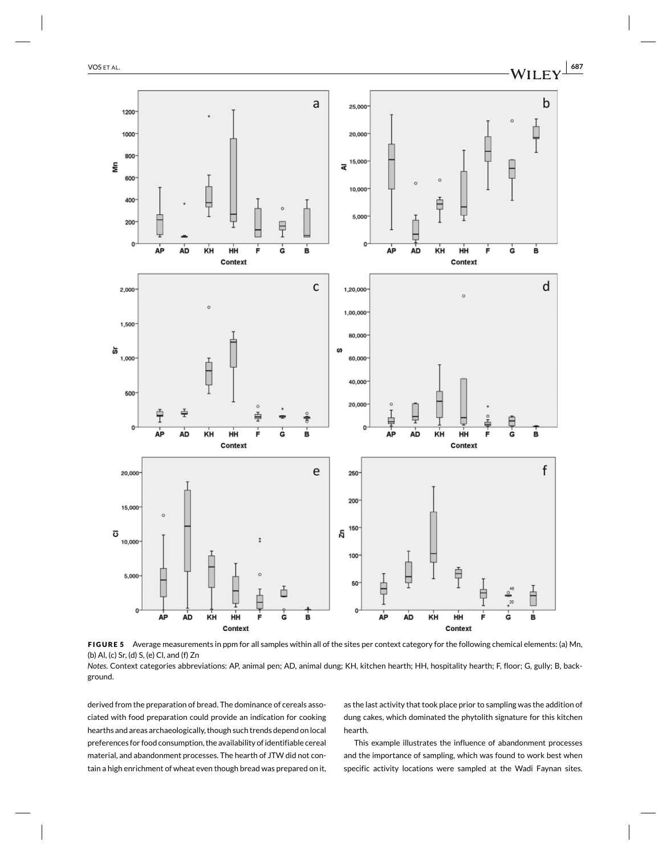



*Notes*. Context categories abbreviations: AP, animal pen; AD, animal dung; KH, kitchen hearth; HH, hospitality hearth; F, floor; G, gully; B, background.

derived from the preparation of bread. The dominance of cereals associated with food preparation could provide an indication for cooking hearths and areas archaeologically, though such trends depend on local preferences for food consumption, the availability of identifiable cereal material, and abandonment processes. The hearth of JTW did not contain a high enrichment of wheat even though bread was prepared on it,

as the last activity that took place prior to sampling was the addition of dung cakes, which dominated the phytolith signature for this kitchen hearth.

This example illustrates the influence of abandonment processes and the importance of sampling, which was found to work best when specific activity locations were sampled at the Wadi Faynan sites.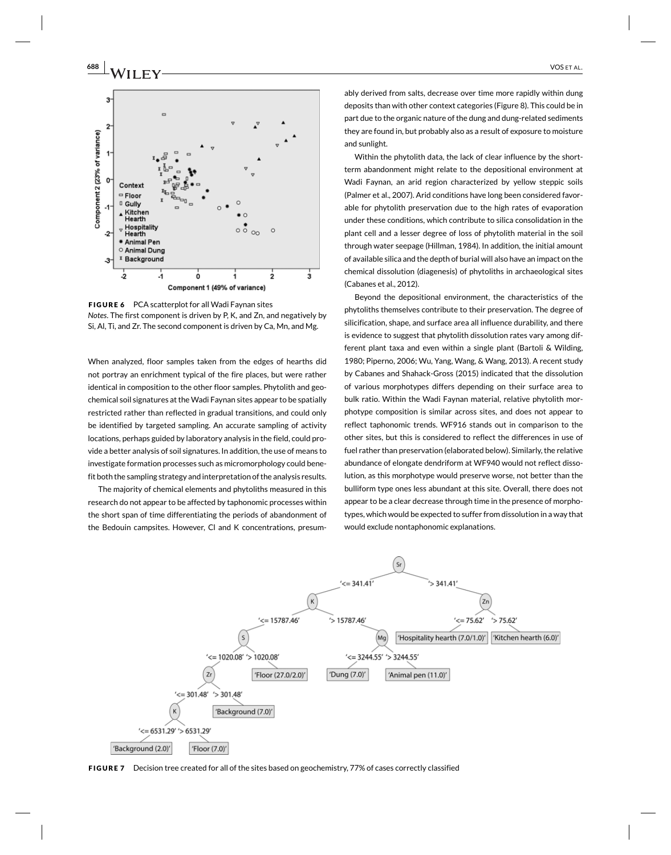

**FIGURE 6** PCA scatterplot for all Wadi Faynan sites *Notes*. The first component is driven by P, K, and Zn, and negatively by Si, Al, Ti, and Zr. The second component is driven by Ca, Mn, and Mg.

When analyzed, floor samples taken from the edges of hearths did not portray an enrichment typical of the fire places, but were rather identical in composition to the other floor samples. Phytolith and geochemical soil signatures at the Wadi Faynan sites appear to be spatially restricted rather than reflected in gradual transitions, and could only be identified by targeted sampling. An accurate sampling of activity locations, perhaps guided by laboratory analysis in the field, could provide a better analysis of soil signatures. In addition, the use of means to investigate formation processes such as micromorphology could benefit both the sampling strategy and interpretation of the analysis results.

The majority of chemical elements and phytoliths measured in this research do not appear to be affected by taphonomic processes within the short span of time differentiating the periods of abandonment of the Bedouin campsites. However, Cl and K concentrations, presum-

ably derived from salts, decrease over time more rapidly within dung deposits than with other context categories (Figure 8). This could be in part due to the organic nature of the dung and dung-related sediments they are found in, but probably also as a result of exposure to moisture and sunlight.

Within the phytolith data, the lack of clear influence by the shortterm abandonment might relate to the depositional environment at Wadi Faynan, an arid region characterized by yellow steppic soils (Palmer et al., 2007). Arid conditions have long been considered favorable for phytolith preservation due to the high rates of evaporation under these conditions, which contribute to silica consolidation in the plant cell and a lesser degree of loss of phytolith material in the soil through water seepage (Hillman, 1984). In addition, the initial amount of available silica and the depth of burial will also have an impact on the chemical dissolution (diagenesis) of phytoliths in archaeological sites (Cabanes et al., 2012).

Beyond the depositional environment, the characteristics of the phytoliths themselves contribute to their preservation. The degree of silicification, shape, and surface area all influence durability, and there is evidence to suggest that phytolith dissolution rates vary among different plant taxa and even within a single plant (Bartoli & Wilding, 1980; Piperno, 2006; Wu, Yang, Wang, & Wang, 2013). A recent study by Cabanes and Shahack-Gross (2015) indicated that the dissolution of various morphotypes differs depending on their surface area to bulk ratio. Within the Wadi Faynan material, relative phytolith morphotype composition is similar across sites, and does not appear to reflect taphonomic trends. WF916 stands out in comparison to the other sites, but this is considered to reflect the differences in use of fuel rather than preservation (elaborated below). Similarly, the relative abundance of elongate dendriform at WF940 would not reflect dissolution, as this morphotype would preserve worse, not better than the bulliform type ones less abundant at this site. Overall, there does not appear to be a clear decrease through time in the presence of morphotypes, which would be expected to suffer from dissolution in a way that would exclude nontaphonomic explanations.



**FIGURE 7** Decision tree created for all of the sites based on geochemistry, 77% of cases correctly classified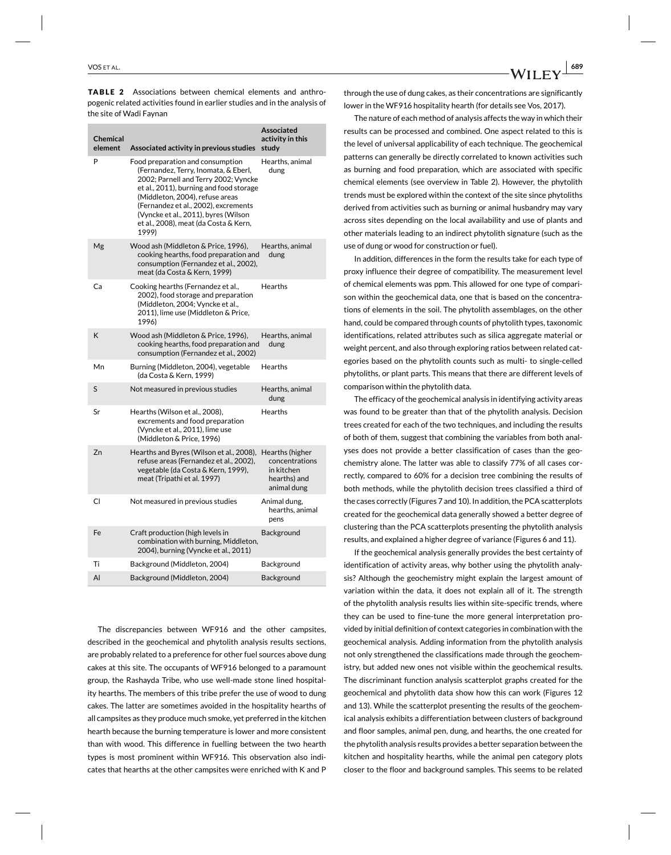**TABLE 2** Associations between chemical elements and anthropogenic related activities found in earlier studies and in the analysis of the site of Wadi Faynan

| <b>Chemical</b><br>element | Associated activity in previous studies                                                                                                                                                                                                                                                                                          | <b>Associated</b><br>activity in this<br>study                                 |
|----------------------------|----------------------------------------------------------------------------------------------------------------------------------------------------------------------------------------------------------------------------------------------------------------------------------------------------------------------------------|--------------------------------------------------------------------------------|
| Þ                          | Food preparation and consumption<br>(Fernandez, Terry, Inomata, & Eberl,<br>2002; Parnell and Terry 2002; Vyncke<br>et al., 2011), burning and food storage<br>(Middleton, 2004), refuse areas<br>(Fernandez et al., 2002), excrements<br>(Vyncke et al., 2011), byres (Wilson<br>et al., 2008), meat (da Costa & Kern,<br>1999) | Hearths, animal<br>dung                                                        |
| Mg                         | Wood ash (Middleton & Price, 1996),<br>cooking hearths, food preparation and<br>consumption (Fernandez et al., 2002),<br>meat (da Costa & Kern, 1999)                                                                                                                                                                            | Hearths, animal<br>dung                                                        |
| Ca                         | Cooking hearths (Fernandez et al.,<br>2002), food storage and preparation<br>(Middleton, 2004; Vyncke et al.,<br>2011), lime use (Middleton & Price,<br>1996)                                                                                                                                                                    | <b>Hearths</b>                                                                 |
| K                          | Wood ash (Middleton & Price, 1996),<br>cooking hearths, food preparation and<br>consumption (Fernandez et al., 2002)                                                                                                                                                                                                             | Hearths, animal<br>dung                                                        |
| Mn                         | Burning (Middleton, 2004), vegetable<br>(da Costa & Kern, 1999)                                                                                                                                                                                                                                                                  | Hearths                                                                        |
| S                          | Not measured in previous studies                                                                                                                                                                                                                                                                                                 | Hearths, animal<br>dung                                                        |
| Sr                         | Hearths (Wilson et al., 2008),<br>excrements and food preparation<br>(Vyncke et al., 2011), lime use<br>(Middleton & Price, 1996)                                                                                                                                                                                                | <b>Hearths</b>                                                                 |
| Zn                         | Hearths and Byres (Wilson et al., 2008),<br>refuse areas (Fernandez et al., 2002),<br>vegetable (da Costa & Kern, 1999),<br>meat (Tripathi et al. 1997)                                                                                                                                                                          | Hearths (higher<br>concentrations<br>in kitchen<br>hearths) and<br>animal dung |
| CI                         | Not measured in previous studies                                                                                                                                                                                                                                                                                                 | Animal dung,<br>hearths, animal<br>pens                                        |
| Fe                         | Craft production (high levels in<br>combination with burning, Middleton,<br>2004), burning (Vyncke et al., 2011)                                                                                                                                                                                                                 | Background                                                                     |
| Ti                         | Background (Middleton, 2004)                                                                                                                                                                                                                                                                                                     | Background                                                                     |
| Al                         | Background (Middleton, 2004)                                                                                                                                                                                                                                                                                                     | Background                                                                     |

The discrepancies between WF916 and the other campsites, described in the geochemical and phytolith analysis results sections, are probably related to a preference for other fuel sources above dung cakes at this site. The occupants of WF916 belonged to a paramount group, the Rashayda Tribe, who use well-made stone lined hospitality hearths. The members of this tribe prefer the use of wood to dung cakes. The latter are sometimes avoided in the hospitality hearths of all campsites as they produce much smoke, yet preferred in the kitchen hearth because the burning temperature is lower and more consistent than with wood. This difference in fuelling between the two hearth types is most prominent within WF916. This observation also indicates that hearths at the other campsites were enriched with K and P through the use of dung cakes, as their concentrations are significantly lower in the WF916 hospitality hearth (for details see Vos, 2017).

The nature of each method of analysis affects the way in which their results can be processed and combined. One aspect related to this is the level of universal applicability of each technique. The geochemical patterns can generally be directly correlated to known activities such as burning and food preparation, which are associated with specific chemical elements (see overview in Table 2). However, the phytolith trends must be explored within the context of the site since phytoliths derived from activities such as burning or animal husbandry may vary across sites depending on the local availability and use of plants and other materials leading to an indirect phytolith signature (such as the use of dung or wood for construction or fuel).

In addition, differences in the form the results take for each type of proxy influence their degree of compatibility. The measurement level of chemical elements was ppm. This allowed for one type of comparison within the geochemical data, one that is based on the concentrations of elements in the soil. The phytolith assemblages, on the other hand, could be compared through counts of phytolith types, taxonomic identifications, related attributes such as silica aggregate material or weight percent, and also through exploring ratios between related categories based on the phytolith counts such as multi- to single-celled phytoliths, or plant parts. This means that there are different levels of comparison within the phytolith data.

The efficacy of the geochemical analysis in identifying activity areas was found to be greater than that of the phytolith analysis. Decision trees created for each of the two techniques, and including the results of both of them, suggest that combining the variables from both analyses does not provide a better classification of cases than the geochemistry alone. The latter was able to classify 77% of all cases correctly, compared to 60% for a decision tree combining the results of both methods, while the phytolith decision trees classified a third of the cases correctly (Figures 7 and 10). In addition, the PCA scatterplots created for the geochemical data generally showed a better degree of clustering than the PCA scatterplots presenting the phytolith analysis results, and explained a higher degree of variance (Figures 6 and 11).

If the geochemical analysis generally provides the best certainty of identification of activity areas, why bother using the phytolith analysis? Although the geochemistry might explain the largest amount of variation within the data, it does not explain all of it. The strength of the phytolith analysis results lies within site-specific trends, where they can be used to fine-tune the more general interpretation provided by initial definition of context categories in combination with the geochemical analysis. Adding information from the phytolith analysis not only strengthened the classifications made through the geochemistry, but added new ones not visible within the geochemical results. The discriminant function analysis scatterplot graphs created for the geochemical and phytolith data show how this can work (Figures 12 and 13). While the scatterplot presenting the results of the geochemical analysis exhibits a differentiation between clusters of background and floor samples, animal pen, dung, and hearths, the one created for the phytolith analysis results provides a better separation between the kitchen and hospitality hearths, while the animal pen category plots closer to the floor and background samples. This seems to be related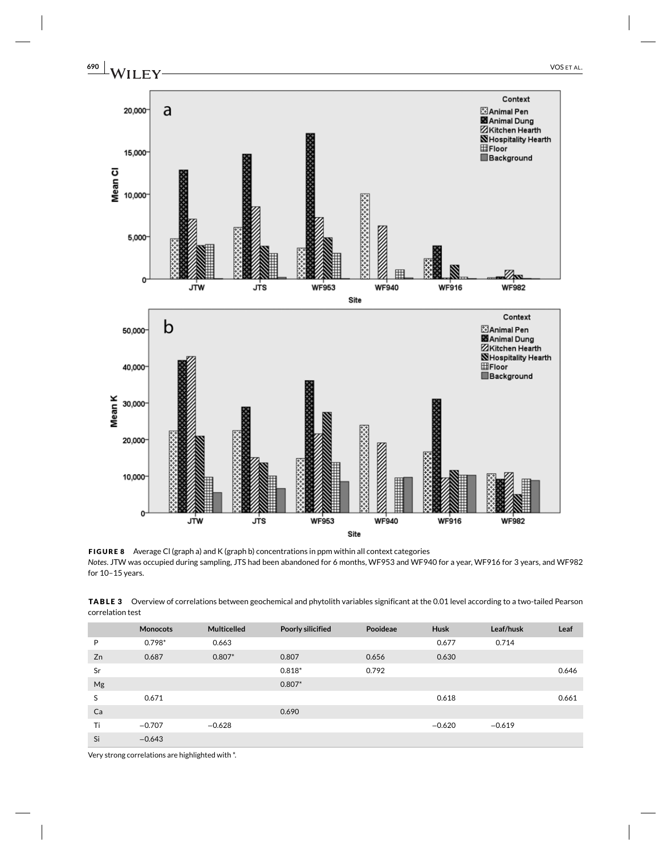

**FIGURE 8** Average Cl (graph a) and K (graph b) concentrations in ppm within all context categories *Notes*. JTW was occupied during sampling, JTS had been abandoned for 6 months, WF953 and WF940 for a year, WF916 for 3 years, and WF982 for 10–15 years.

|                  | TABLE 3 Overview of correlations between geochemical and phytolith variables significant at the 0.01 level according to a two-tailed Pearson |
|------------------|----------------------------------------------------------------------------------------------------------------------------------------------|
| correlation test |                                                                                                                                              |

|    | <b>Monocots</b> | <b>Multicelled</b> | Poorly silicified | Pooideae | <b>Husk</b> | Leaf/husk | Leaf  |
|----|-----------------|--------------------|-------------------|----------|-------------|-----------|-------|
| P  | $0.798*$        | 0.663              |                   |          | 0.677       | 0.714     |       |
| Zn | 0.687           | $0.807*$           | 0.807             | 0.656    | 0.630       |           |       |
| Sr |                 |                    | $0.818*$          | 0.792    |             |           | 0.646 |
| Mg |                 |                    | $0.807*$          |          |             |           |       |
| S  | 0.671           |                    |                   |          | 0.618       |           | 0.661 |
| Ca |                 |                    | 0.690             |          |             |           |       |
| Ti | $-0.707$        | $-0.628$           |                   |          | $-0.620$    | $-0.619$  |       |
| Si | $-0.643$        |                    |                   |          |             |           |       |

Very strong correlations are highlighted with \*.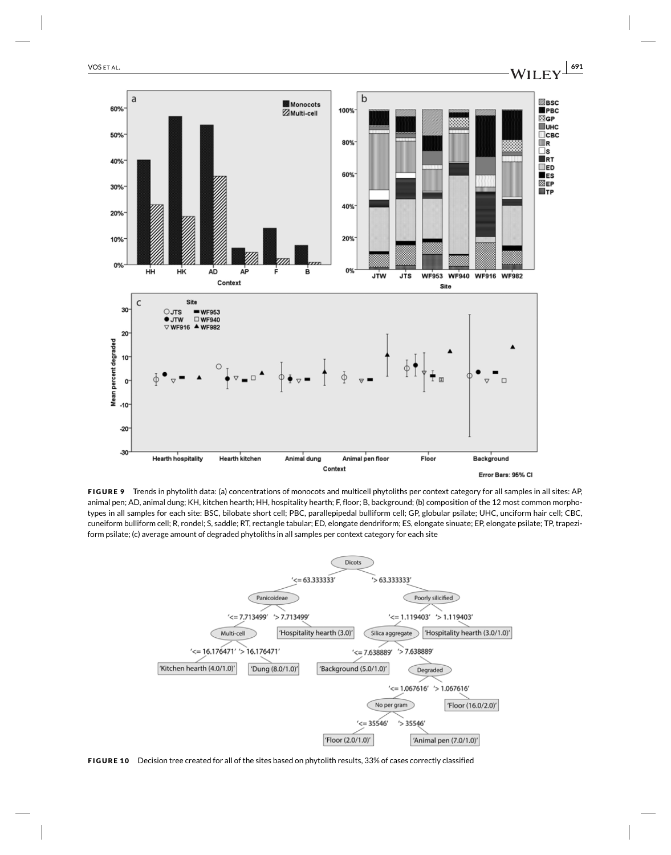

**FIGURE 9** Trends in phytolith data: (a) concentrations of monocots and multicell phytoliths per context category for all samples in all sites: AP, animal pen; AD, animal dung; KH, kitchen hearth; HH, hospitality hearth; F, floor; B, background; (b) composition of the 12 most common morphotypes in all samples for each site: BSC, bilobate short cell; PBC, parallepipedal bulliform cell; GP, globular psilate; UHC, unciform hair cell; CBC, cuneiform bulliform cell; R, rondel; S, saddle; RT, rectangle tabular; ED, elongate dendriform; ES, elongate sinuate; EP, elongate psilate; TP, trapeziform psilate; (c) average amount of degraded phytoliths in all samples per context category for each site



**FIGURE 10** Decision tree created for all of the sites based on phytolith results, 33% of cases correctly classified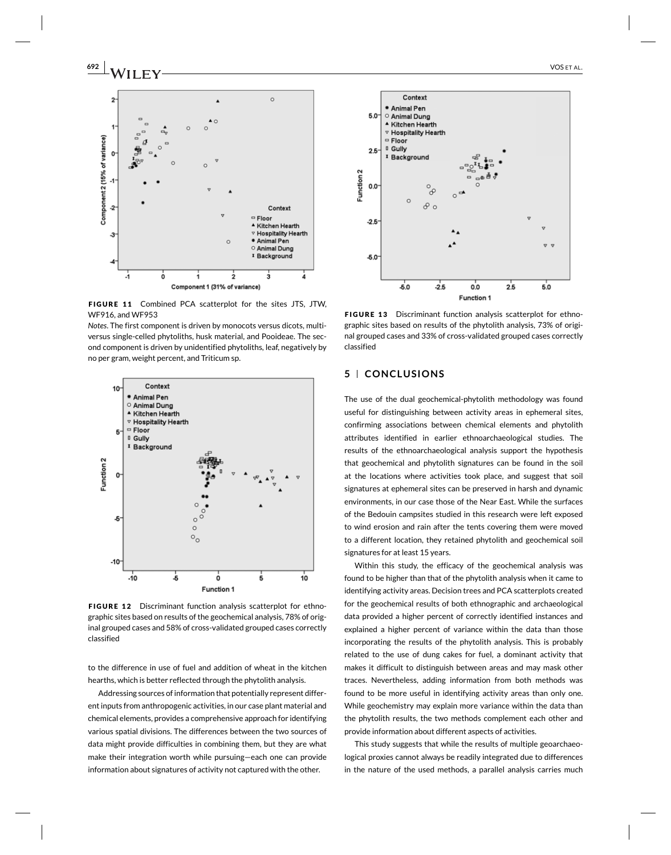**692 2** VOS ET AL.



**FIGURE 11** Combined PCA scatterplot for the sites JTS, JTW, WF916, and WF953

*Notes*. The first component is driven by monocots versus dicots, multiversus single-celled phytoliths, husk material, and Pooideae. The second component is driven by unidentified phytoliths, leaf, negatively by no per gram, weight percent, and Triticum sp.



**FIGURE 12** Discriminant function analysis scatterplot for ethnographic sites based on results of the geochemical analysis, 78% of original grouped cases and 58% of cross-validated grouped cases correctly classified

to the difference in use of fuel and addition of wheat in the kitchen hearths, which is better reflected through the phytolith analysis.

Addressing sources of information that potentially represent different inputs from anthropogenic activities, in our case plant material and chemical elements, provides a comprehensive approach for identifying various spatial divisions. The differences between the two sources of data might provide difficulties in combining them, but they are what make their integration worth while pursuing—each one can provide information about signatures of activity not captured with the other.



**FIGURE 13** Discriminant function analysis scatterplot for ethnographic sites based on results of the phytolith analysis, 73% of original grouped cases and 33% of cross-validated grouped cases correctly classified

# **5 CONCLUSIONS**

The use of the dual geochemical-phytolith methodology was found useful for distinguishing between activity areas in ephemeral sites, confirming associations between chemical elements and phytolith attributes identified in earlier ethnoarchaeological studies. The results of the ethnoarchaeological analysis support the hypothesis that geochemical and phytolith signatures can be found in the soil at the locations where activities took place, and suggest that soil signatures at ephemeral sites can be preserved in harsh and dynamic environments, in our case those of the Near East. While the surfaces of the Bedouin campsites studied in this research were left exposed to wind erosion and rain after the tents covering them were moved to a different location, they retained phytolith and geochemical soil signatures for at least 15 years.

Within this study, the efficacy of the geochemical analysis was found to be higher than that of the phytolith analysis when it came to identifying activity areas. Decision trees and PCA scatterplots created for the geochemical results of both ethnographic and archaeological data provided a higher percent of correctly identified instances and explained a higher percent of variance within the data than those incorporating the results of the phytolith analysis. This is probably related to the use of dung cakes for fuel, a dominant activity that makes it difficult to distinguish between areas and may mask other traces. Nevertheless, adding information from both methods was found to be more useful in identifying activity areas than only one. While geochemistry may explain more variance within the data than the phytolith results, the two methods complement each other and provide information about different aspects of activities.

This study suggests that while the results of multiple geoarchaeological proxies cannot always be readily integrated due to differences in the nature of the used methods, a parallel analysis carries much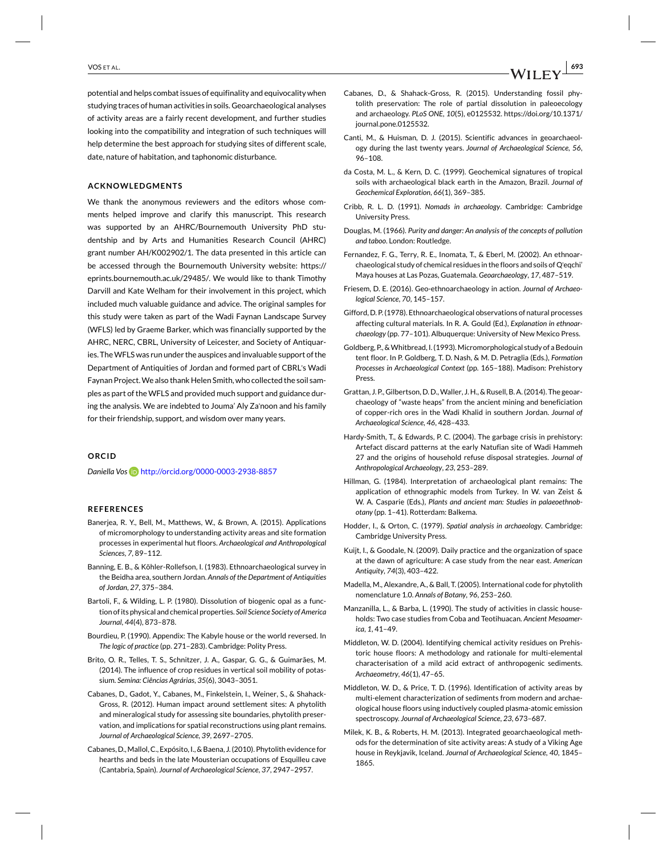potential and helps combat issues of equifinality and equivocality when studying traces of human activities in soils. Geoarchaeological analyses of activity areas are a fairly recent development, and further studies looking into the compatibility and integration of such techniques will help determine the best approach for studying sites of different scale, date, nature of habitation, and taphonomic disturbance.

## **ACKNOWLEDGMENTS**

We thank the anonymous reviewers and the editors whose comments helped improve and clarify this manuscript. This research was supported by an AHRC/Bournemouth University PhD studentship and by Arts and Humanities Research Council (AHRC) grant number AH/K002902/1. The data presented in this article can be accessed through the Bournemouth University website: https:// eprints.bournemouth.ac.uk/29485/. We would like to thank Timothy Darvill and Kate Welham for their involvement in this project, which included much valuable guidance and advice. The original samples for this study were taken as part of the Wadi Faynan Landscape Survey (WFLS) led by Graeme Barker, which was financially supported by the AHRC, NERC, CBRL, University of Leicester, and Society of Antiquaries. The WFLS was run under the auspices and invaluable support of the Department of Antiquities of Jordan and formed part of CBRL's Wadi Faynan Project. We also thank Helen Smith, who collected the soil samples as part of the WFLS and provided much support and guidance during the analysis. We are indebted to Jouma' Aly Za'noon and his family for their friendship, support, and wisdom over many years.

## **ORCID**

*Daniella Vos* http://orcid.org/0000-0003-2938-8857

#### **REFERENCES**

- Banerjea, R. Y., Bell, M., Matthews, W., & Brown, A. (2015). Applications of micromorphology to understanding activity areas and site formation processes in experimental hut floors. *Archaeological and Anthropological Sciences*, *7*, 89–112.
- Banning, E. B., & Köhler-Rollefson, I. (1983). Ethnoarchaeological survey in the Beidha area, southern Jordan. *Annals of the Department of Antiquities of Jordan*, *27*, 375–384.
- Bartoli, F., & Wilding, L. P. (1980). Dissolution of biogenic opal as a function of its physical and chemical properties. *Soil Science Society of America Journal*, *44*(4), 873–878.
- Bourdieu, P. (1990). Appendix: The Kabyle house or the world reversed. In *The logic of practice* (pp. 271–283). Cambridge: Polity Press.
- Brito, O. R., Telles, T. S., Schnitzer, J. A., Gaspar, G. G., & Guimarães, M. (2014). The influence of crop residues in vertical soil mobility of potassium. *Semina: Ciências Agrárias*, *35*(6), 3043–3051.
- Cabanes, D., Gadot, Y., Cabanes, M., Finkelstein, I., Weiner, S., & Shahack-Gross, R. (2012). Human impact around settlement sites: A phytolith and mineralogical study for assessing site boundaries, phytolith preservation, and implications for spatial reconstructions using plant remains. *Journal of Archaeological Science*, *39*, 2697–2705.
- Cabanes, D., Mallol, C., Expósito, I., & Baena, J. (2010). Phytolith evidence for hearths and beds in the late Mousterian occupations of Esquilleu cave (Cantabria, Spain). *Journal of Archaeological Science*, *37*, 2947–2957.
- Cabanes, D., & Shahack-Gross, R. (2015). Understanding fossil phytolith preservation: The role of partial dissolution in paleoecology and archaeology. *PLoS ONE*, *10*(5), e0125532. https://doi.org/10.1371/ journal.pone.0125532.
- Canti, M., & Huisman, D. J. (2015). Scientific advances in geoarchaeology during the last twenty years. *Journal of Archaeological Science*, *56*, 96–108.
- da Costa, M. L., & Kern, D. C. (1999). Geochemical signatures of tropical soils with archaeological black earth in the Amazon, Brazil. *Journal of Geochemical Exploration*, *66*(1), 369–385.
- Cribb, R. L. D. (1991). *Nomads in archaeology*. Cambridge: Cambridge University Press.
- Douglas, M. (1966). *Purity and danger: An analysis of the concepts of pollution and taboo*. London: Routledge.
- Fernandez, F. G., Terry, R. E., Inomata, T., & Eberl, M. (2002). An ethnoarchaeological study of chemical residues in the floors and soils of Q'eqchi' Maya houses at Las Pozas, Guatemala. *Geoarchaeology*, *17*, 487–519.
- Friesem, D. E. (2016). Geo-ethnoarchaeology in action. *Journal of Archaeological Science*, *70*, 145–157.
- Gifford, D. P. (1978). Ethnoarchaeological observations of natural processes affecting cultural materials. In R. A. Gould (Ed.), *Explanation in ethnoarchaeology* (pp. 77–101). Albuquerque: University of New Mexico Press.
- Goldberg, P., & Whitbread, I. (1993). Micromorphological study of a Bedouin tent floor. In P. Goldberg, T. D. Nash, & M. D. Petraglia (Eds.), *Formation Processes in Archaeological Context* (pp. 165–188). Madison: Prehistory Press.
- Grattan, J. P., Gilbertson, D. D., Waller, J. H., & Rusell, B. A. (2014). The geoarchaeology of "waste heaps" from the ancient mining and beneficiation of copper-rich ores in the Wadi Khalid in southern Jordan. *Journal of Archaeological Science*, *46*, 428–433.
- Hardy-Smith, T., & Edwards, P. C. (2004). The garbage crisis in prehistory: Artefact discard patterns at the early Natufian site of Wadi Hammeh 27 and the origins of household refuse disposal strategies. *Journal of Anthropological Archaeology*, *23*, 253–289.
- Hillman, G. (1984). Interpretation of archaeological plant remains: The application of ethnographic models from Turkey. In W. van Zeist & W. A. Casparie (Eds.), *Plants and ancient man: Studies in palaeoethnobotany* (pp. 1–41). Rotterdam: Balkema.
- Hodder, I., & Orton, C. (1979). *Spatial analysis in archaeology*. Cambridge: Cambridge University Press.
- Kuijt, I., & Goodale, N. (2009). Daily practice and the organization of space at the dawn of agriculture: A case study from the near east. *American Antiquity*, *74*(3), 403–422.
- Madella, M., Alexandre, A., & Ball, T. (2005). International code for phytolith nomenclature 1.0. *Annals of Botany*, *96*, 253–260.
- Manzanilla, L., & Barba, L. (1990). The study of activities in classic households: Two case studies from Coba and Teotihuacan. *Ancient Mesoamerica*, *1*, 41–49.
- Middleton, W. D. (2004). Identifying chemical activity residues on Prehistoric house floors: A methodology and rationale for multi-elemental characterisation of a mild acid extract of anthropogenic sediments. *Archaeometry*, *46*(1), 47–65.
- Middleton, W. D., & Price, T. D. (1996). Identification of activity areas by multi-element characterization of sediments from modern and archaeological house floors using inductively coupled plasma-atomic emission spectroscopy. *Journal of Archaeological Science*, *23*, 673–687.
- Milek, K. B., & Roberts, H. M. (2013). Integrated geoarchaeological methods for the determination of site activity areas: A study of a Viking Age house in Reykjavik, Iceland. *Journal of Archaeological Science*, *40*, 1845– 1865.